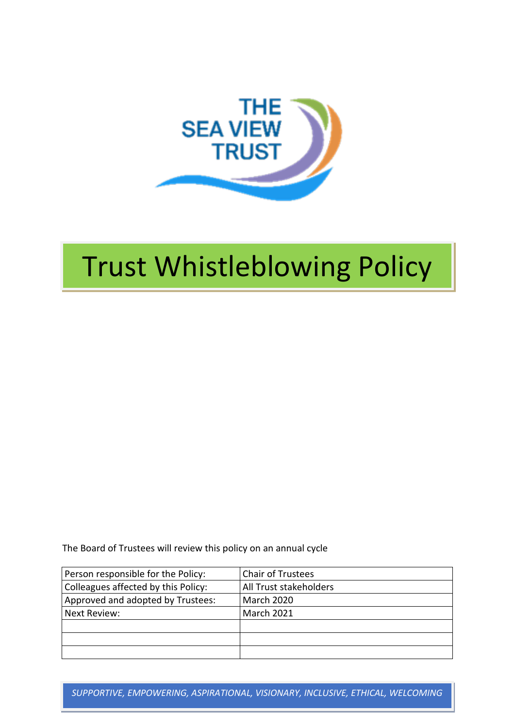

# Trust Whistleblowing Policy

The Board of Trustees will review this policy on an annual cycle

| Person responsible for the Policy:  | Chair of Trustees      |
|-------------------------------------|------------------------|
| Colleagues affected by this Policy: | All Trust stakeholders |
| Approved and adopted by Trustees:   | <b>March 2020</b>      |
| Next Review:                        | <b>March 2021</b>      |
|                                     |                        |
|                                     |                        |
|                                     |                        |

*SUPPORTIVE, EMPOWERING, ASPIRATIONAL, VISIONARY, INCLUSIVE, ETHICAL, WELCOMING*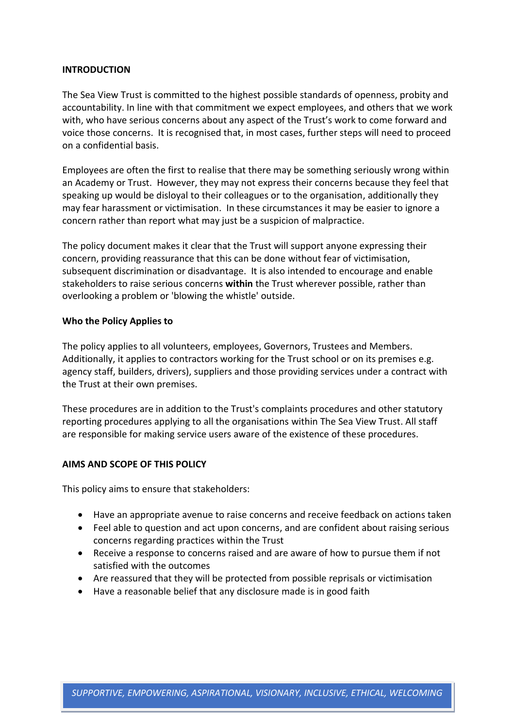### **INTRODUCTION**

The Sea View Trust is committed to the highest possible standards of openness, probity and accountability. In line with that commitment we expect employees, and others that we work with, who have serious concerns about any aspect of the Trust's work to come forward and voice those concerns. It is recognised that, in most cases, further steps will need to proceed on a confidential basis.

Employees are often the first to realise that there may be something seriously wrong within an Academy or Trust. However, they may not express their concerns because they feel that speaking up would be disloyal to their colleagues or to the organisation, additionally they may fear harassment or victimisation. In these circumstances it may be easier to ignore a concern rather than report what may just be a suspicion of malpractice.

The policy document makes it clear that the Trust will support anyone expressing their concern, providing reassurance that this can be done without fear of victimisation, subsequent discrimination or disadvantage. It is also intended to encourage and enable stakeholders to raise serious concerns **within** the Trust wherever possible, rather than overlooking a problem or 'blowing the whistle' outside.

#### **Who the Policy Applies to**

The policy applies to all volunteers, employees, Governors, Trustees and Members. Additionally, it applies to contractors working for the Trust school or on its premises e.g. agency staff, builders, drivers), suppliers and those providing services under a contract with the Trust at their own premises.

These procedures are in addition to the Trust's complaints procedures and other statutory reporting procedures applying to all the organisations within The Sea View Trust. All staff are responsible for making service users aware of the existence of these procedures.

#### **AIMS AND SCOPE OF THIS POLICY**

This policy aims to ensure that stakeholders:

- Have an appropriate avenue to raise concerns and receive feedback on actions taken
- Feel able to question and act upon concerns, and are confident about raising serious concerns regarding practices within the Trust
- Receive a response to concerns raised and are aware of how to pursue them if not satisfied with the outcomes
- Are reassured that they will be protected from possible reprisals or victimisation
- Have a reasonable belief that any disclosure made is in good faith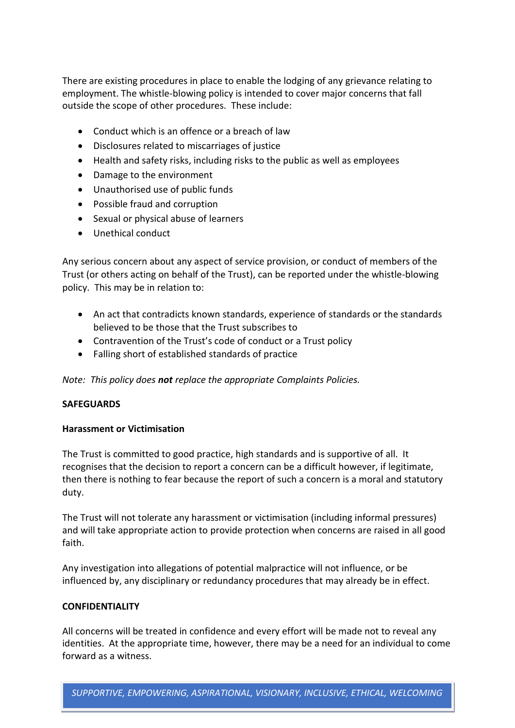There are existing procedures in place to enable the lodging of any grievance relating to employment. The whistle-blowing policy is intended to cover major concerns that fall outside the scope of other procedures. These include:

- Conduct which is an offence or a breach of law
- Disclosures related to miscarriages of justice
- Health and safety risks, including risks to the public as well as employees
- Damage to the environment
- Unauthorised use of public funds
- Possible fraud and corruption
- Sexual or physical abuse of learners
- Unethical conduct

Any serious concern about any aspect of service provision, or conduct of members of the Trust (or others acting on behalf of the Trust), can be reported under the whistle-blowing policy. This may be in relation to:

- An act that contradicts known standards, experience of standards or the standards believed to be those that the Trust subscribes to
- Contravention of the Trust's code of conduct or a Trust policy
- Falling short of established standards of practice

*Note: This policy does not replace the appropriate Complaints Policies.*

## **SAFEGUARDS**

## **Harassment or Victimisation**

The Trust is committed to good practice, high standards and is supportive of all. It recognises that the decision to report a concern can be a difficult however, if legitimate, then there is nothing to fear because the report of such a concern is a moral and statutory duty.

The Trust will not tolerate any harassment or victimisation (including informal pressures) and will take appropriate action to provide protection when concerns are raised in all good faith.

Any investigation into allegations of potential malpractice will not influence, or be influenced by, any disciplinary or redundancy procedures that may already be in effect.

## **CONFIDENTIALITY**

All concerns will be treated in confidence and every effort will be made not to reveal any identities. At the appropriate time, however, there may be a need for an individual to come forward as a witness.

*SUPPORTIVE, EMPOWERING, ASPIRATIONAL, VISIONARY, INCLUSIVE, ETHICAL, WELCOMING*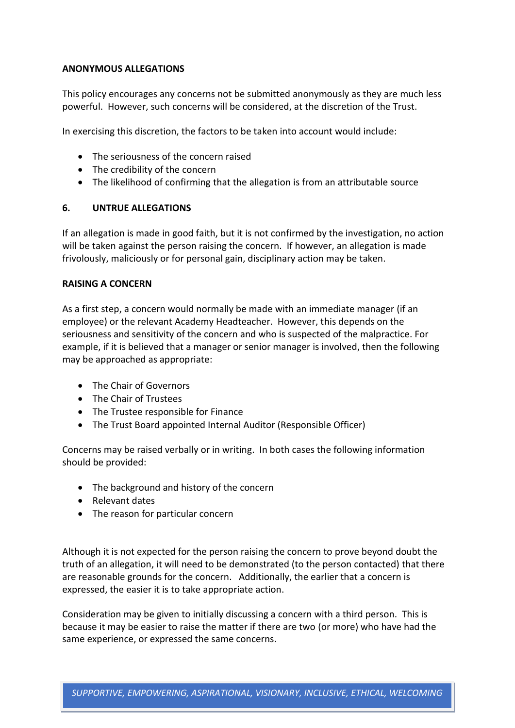# **ANONYMOUS ALLEGATIONS**

This policy encourages any concerns not be submitted anonymously as they are much less powerful. However, such concerns will be considered, at the discretion of the Trust.

In exercising this discretion, the factors to be taken into account would include:

- The seriousness of the concern raised
- The credibility of the concern
- The likelihood of confirming that the allegation is from an attributable source

# **6. UNTRUE ALLEGATIONS**

If an allegation is made in good faith, but it is not confirmed by the investigation, no action will be taken against the person raising the concern. If however, an allegation is made frivolously, maliciously or for personal gain, disciplinary action may be taken.

# **RAISING A CONCERN**

As a first step, a concern would normally be made with an immediate manager (if an employee) or the relevant Academy Headteacher. However, this depends on the seriousness and sensitivity of the concern and who is suspected of the malpractice. For example, if it is believed that a manager or senior manager is involved, then the following may be approached as appropriate:

- The Chair of Governors
- The Chair of Trustees
- The Trustee responsible for Finance
- The Trust Board appointed Internal Auditor (Responsible Officer)

Concerns may be raised verbally or in writing. In both cases the following information should be provided:

- The background and history of the concern
- Relevant dates
- The reason for particular concern

Although it is not expected for the person raising the concern to prove beyond doubt the truth of an allegation, it will need to be demonstrated (to the person contacted) that there are reasonable grounds for the concern. Additionally, the earlier that a concern is expressed, the easier it is to take appropriate action.

Consideration may be given to initially discussing a concern with a third person. This is because it may be easier to raise the matter if there are two (or more) who have had the same experience, or expressed the same concerns.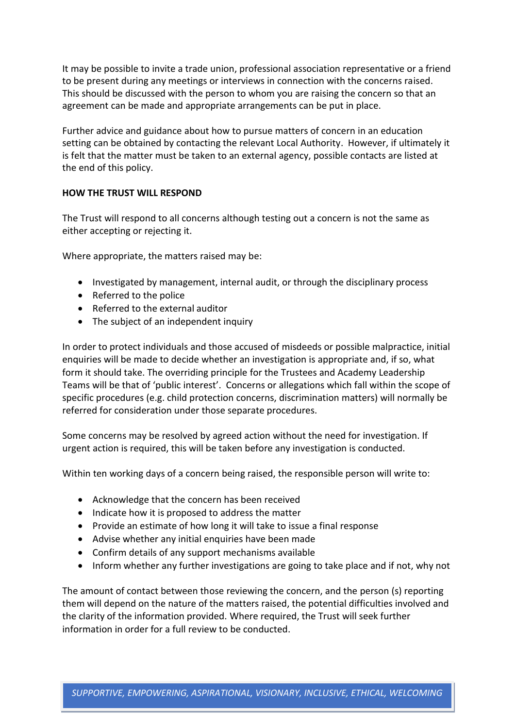It may be possible to invite a trade union, professional association representative or a friend to be present during any meetings or interviews in connection with the concerns raised. This should be discussed with the person to whom you are raising the concern so that an agreement can be made and appropriate arrangements can be put in place.

Further advice and guidance about how to pursue matters of concern in an education setting can be obtained by contacting the relevant Local Authority. However, if ultimately it is felt that the matter must be taken to an external agency, possible contacts are listed at the end of this policy.

# **HOW THE TRUST WILL RESPOND**

The Trust will respond to all concerns although testing out a concern is not the same as either accepting or rejecting it.

Where appropriate, the matters raised may be:

- Investigated by management, internal audit, or through the disciplinary process
- Referred to the police
- Referred to the external auditor
- The subject of an independent inquiry

In order to protect individuals and those accused of misdeeds or possible malpractice, initial enquiries will be made to decide whether an investigation is appropriate and, if so, what form it should take. The overriding principle for the Trustees and Academy Leadership Teams will be that of 'public interest'. Concerns or allegations which fall within the scope of specific procedures (e.g. child protection concerns, discrimination matters) will normally be referred for consideration under those separate procedures.

Some concerns may be resolved by agreed action without the need for investigation. If urgent action is required, this will be taken before any investigation is conducted.

Within ten working days of a concern being raised, the responsible person will write to:

- Acknowledge that the concern has been received
- Indicate how it is proposed to address the matter
- Provide an estimate of how long it will take to issue a final response
- Advise whether any initial enquiries have been made
- Confirm details of any support mechanisms available
- Inform whether any further investigations are going to take place and if not, why not

The amount of contact between those reviewing the concern, and the person (s) reporting them will depend on the nature of the matters raised, the potential difficulties involved and the clarity of the information provided. Where required, the Trust will seek further information in order for a full review to be conducted.